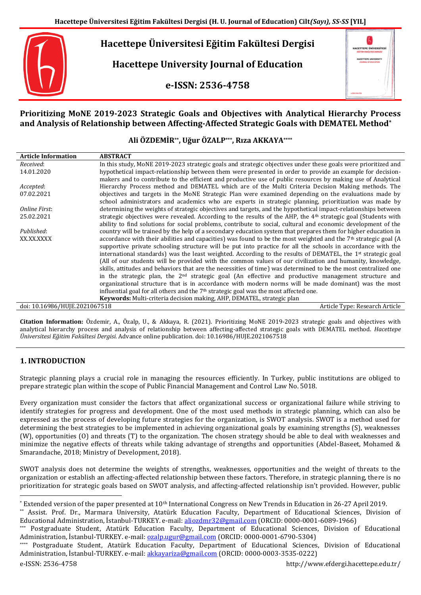

**Hacettepe University Journal of Education**

**e-ISSN: 2536-4758**



# **Prioritizing MoNE 2019-2023 Strategic Goals and Objectives with Analytical Hierarchy Process and Analysis of Relationship between Affecting-Affected Strategic Goals with DEMATEL Method\***

## **Ali ÖZDEMİR\*\*, Uğur ÖZALP\*\*\*, Rıza AKKAYA\*\*\*\***

| <b>Article Information</b>    | <b>ABSTRACT</b>                                                                                                            |
|-------------------------------|----------------------------------------------------------------------------------------------------------------------------|
| Received:                     | In this study, MoNE 2019-2023 strategic goals and strategic objectives under these goals were prioritized and              |
| 14.01.2020                    | hypothetical impact-relationship between them were presented in order to provide an example for decision-                  |
|                               | makers and to contribute to the efficient and productive use of public resources by making use of Analytical               |
| Accepted:                     | Hierarchy Process method and DEMATEL which are of the Multi Criteria Decision Making methods. The                          |
| 07.02.2021                    | objectives and targets in the MoNE Strategic Plan were examined depending on the evaluations made by                       |
|                               | school administrators and academics who are experts in strategic planning, prioritization was made by                      |
| Online First:                 | determining the weights of strategic objectives and targets, and the hypothetical impact-relationships between             |
| 25.02.2021                    | strategic objectives were revealed. According to the results of the AHP, the 4 <sup>th</sup> strategic goal (Students with |
|                               | ability to find solutions for social problems, contribute to social, cultural and economic development of the              |
| Published:                    | country will be trained by the help of a secondary education system that prepares them for higher education in             |
| XX.XX.XXXX                    | accordance with their abilities and capacities) was found to be the most weighted and the $7th$ strategic goal (A          |
|                               | supportive private schooling structure will be put into practice for all the schools in accordance with the                |
|                               | international standards) was the least weighted. According to the results of DEMATEL, the 1st strategic goal               |
|                               | (All of our students will be provided with the common values of our civilization and humanity, knowledge,                  |
|                               | skills, attitudes and behaviors that are the necessities of time) was determined to be the most centralized one            |
|                               | in the strategic plan, the $2nd$ strategic goal (An effective and productive management structure and                      |
|                               | organizational structure that is in accordance with modern norms will be made dominant) was the most                       |
|                               | influential goal for all others and the $7th$ strategic goal was the most affected one.                                    |
|                               | Keywords: Multi-criteria decision making, AHP, DEMATEL, strategic plan                                                     |
| doi: 10.16986/HUJE.2021067518 | Article Type: Research Article                                                                                             |

**Citation Information:** Özdemir, A., Özalp, U., & Akkaya, R. (2021). Prioritizing MoNE 2019-2023 strategic goals and objectives with analytical hierarchy process and analysis of relationship between affecting-affected strategic goals with DEMATEL method. *Hacettepe Üniversitesi Eğitim Fakültesi Dergisi.* Advance online publication. doi: 10.16986/HUJE.2021067518

# **1. INTRODUCTION**

Strategic planning plays a crucial role in managing the resources efficiently. In Turkey, public institutions are obliged to prepare strategic plan within the scope of Public Financial Management and Control Law No. 5018.

Every organization must consider the factors that affect organizational success or organizational failure while striving to identify strategies for progress and development. One of the most used methods in strategic planning, which can also be expressed as the process of developing future strategies for the organization, is SWOT analysis. SWOT is a method used for determining the best strategies to be implemented in achieving organizational goals by examining strengths (S), weaknesses (W), opportunities (O) and threats (T) to the organization. The chosen strategy should be able to deal with weaknesses and minimize the negative effects of threats while taking advantage of strengths and opportunities (Abdel-Baseet, Mohamed & Smarandache, 2018; Ministry of Development, 2018).

SWOT analysis does not determine the weights of strengths, weaknesses, opportunities and the weight of threats to the organization or establish an affecting-affected relationship between these factors. Therefore, in strategic planning, there is no prioritization for strategic goals based on SWOT analysis, and affecting-affected relationship isn't provided. However, public

 $\overline{a}$ 

 $*$  Extended version of the paper presented at  $10<sup>th</sup>$  International Congress on New Trends in Education in 26-27 April 2019.

<sup>\*\*</sup> Assist. Prof. Dr., Marmara University, Atatürk Education Faculty, Department of Educational Sciences, Division of Educational Administration, İstanbul-TURKEY. e-mail: [aliozdmr32@gmail.com](mailto:aliozdmr32@gmail.com) (ORCID: 0000-0001-6089-1966)

Postgraduate Student, Atatürk Education Faculty, Department of Educational Sciences, Division of Educational Administration, İstanbul-TURKEY. e-mail: <u>ozalp.ugur@gmail.com</u> (ORCID: 0000-0001-6790-5304)

Postgraduate Student, Atatürk Education Faculty, Department of Educational Sciences, Division of Educational Administration, İstanbul-TURKEY. e-mail[: akkayariza@gmail.com](mailto:akkayariza@gmail.com) (ORCID: 0000-0003-3535-0222)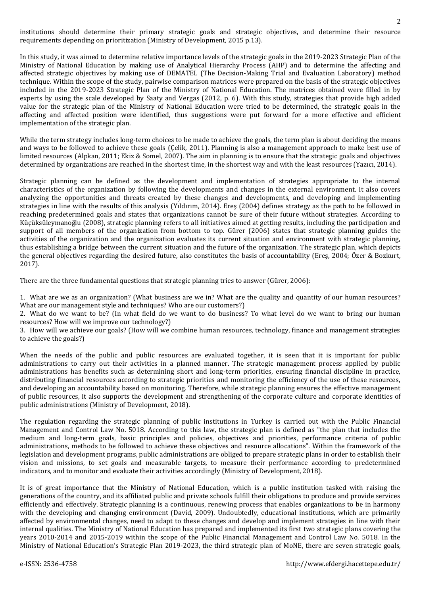institutions should determine their primary strategic goals and strategic objectives, and determine their resource requirements depending on prioritization (Ministry of Development, 2015 p.13).

In this study, it was aimed to determine relative importance levels of the strategic goals in the 2019-2023 Strategic Plan of the Ministry of National Education by making use of Analytical Hierarchy Process (AHP) and to determine the affecting and affected strategic objectives by making use of DEMATEL (The Decision-Making Trial and Evaluation Laboratory) method technique. Within the scope of the study, pairwise comparison matrices were prepared on the basis of the strategic objectives included in the 2019-2023 Strategic Plan of the Ministry of National Education. The matrices obtained were filled in by experts by using the scale developed by Saaty and Vergas (2012, p. 6). With this study, strategies that provide high added value for the strategic plan of the Ministry of National Education were tried to be determined, the strategic goals in the affecting and affected position were identified, thus suggestions were put forward for a more effective and efficient implementation of the strategic plan.

While the term strategy includes long-term choices to be made to achieve the goals, the term plan is about deciding the means and ways to be followed to achieve these goals (Çelik, 2011). Planning is also a management approach to make best use of limited resources (Alpkan, 2011; Ekiz & Somel, 2007). The aim in planning is to ensure that the strategic goals and objectives determined by organizations are reached in the shortest time, in the shortest way and with the least resources (Yazıcı, 2014).

Strategic planning can be defined as the development and implementation of strategies appropriate to the internal characteristics of the organization by following the developments and changes in the external environment. It also covers analyzing the opportunities and threats created by these changes and developments, and developing and implementing strategies in line with the results of this analysis (Yıldırım, 2014). Ereş (2004) defines strategy as the path to be followed in reaching predetermined goals and states that organizations cannot be sure of their future without strategies. According to Küçüksüleymanoğlu (2008), strategic planning refers to all initiatives aimed at getting results, including the participation and support of all members of the organization from bottom to top. Gürer (2006) states that strategic planning guides the activities of the organization and the organization evaluates its current situation and environment with strategic planning, thus establishing a bridge between the current situation and the future of the organization. The strategic plan, which depicts the general objectives regarding the desired future, also constitutes the basis of accountability (Ereş, 2004; Özer & Bozkurt, 2017).

There are the three fundamental questions that strategic planning tries to answer (Gürer, 2006):

1. What are we as an organization? (What business are we in? What are the quality and quantity of our human resources? What are our management style and techniques? Who are our customers?)

2. What do we want to be? (In what field do we want to do business? To what level do we want to bring our human resources? How will we improve our technology?)

3. How will we achieve our goals? (How will we combine human resources, technology, finance and management strategies to achieve the goals?)

When the needs of the public and public resources are evaluated together, it is seen that it is important for public administrations to carry out their activities in a planned manner. The strategic management process applied by public administrations has benefits such as determining short and long-term priorities, ensuring financial discipline in practice, distributing financial resources according to strategic priorities and monitoring the efficiency of the use of these resources, and developing an accountability based on monitoring. Therefore, while strategic planning ensures the effective management of public resources, it also supports the development and strengthening of the corporate culture and corporate identities of public administrations (Ministry of Development, 2018).

The regulation regarding the strategic planning of public institutions in Turkey is carried out with the Public Financial Management and Control Law No. 5018. According to this law, the strategic plan is defined as "the plan that includes the medium and long-term goals, basic principles and policies, objectives and priorities, performance criteria of public administrations, methods to be followed to achieve these objectives and resource allocations". Within the framework of the legislation and development programs, public administrations are obliged to prepare strategic plans in order to establish their vision and missions, to set goals and measurable targets, to measure their performance according to predetermined indicators, and to monitor and evaluate their activities accordingly (Ministry of Development, 2018).

It is of great importance that the Ministry of National Education, which is a public institution tasked with raising the generations of the country, and its affiliated public and private schools fulfill their obligations to produce and provide services efficiently and effectively. Strategic planning is a continuous, renewing process that enables organizations to be in harmony with the developing and changing environment (David, 2009). Undoubtedly, educational institutions, which are primarily affected by environmental changes, need to adapt to these changes and develop and implement strategies in line with their internal qualities. The Ministry of National Education has prepared and implemented its first two strategic plans covering the years 2010-2014 and 2015-2019 within the scope of the Public Financial Management and Control Law No. 5018. In the Ministry of National Education's Strategic Plan 2019-2023, the third strategic plan of MoNE, there are seven strategic goals,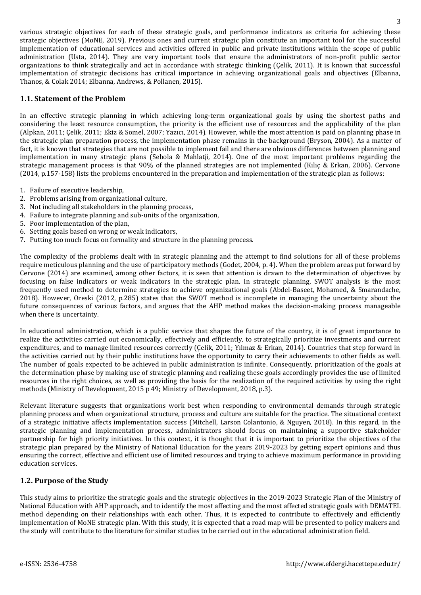various strategic objectives for each of these strategic goals, and performance indicators as criteria for achieving these strategic objectives (MoNE, 2019). Previous ones and current strategic plan constitute an important tool for the successful implementation of educational services and activities offered in public and private institutions within the scope of public administration (Usta, 2014). They are very important tools that ensure the administrators of non-profit public sector organizations to think strategically and act in accordance with strategic thinking (Çelik, 2011). It is known that successful implementation of strategic decisions has critical importance in achieving organizational goals and objectives (Elbanna, Thanos, & Colak 2014; Elbanna, Andrews, & Pollanen, 2015).

## **1.1. Statement of the Problem**

In an effective strategic planning in which achieving long-term organizational goals by using the shortest paths and considering the least resource consumption, the priority is the efficient use of resources and the applicability of the plan (Alpkan, 2011; Çelik, 2011; Ekiz & Somel, 2007; Yazıcı, 2014). However, while the most attention is paid on planning phase in the strategic plan preparation process, the implementation phase remains in the background (Bryson, 2004). As a matter of fact, it is known that strategies that are not possible to implement fail and there are obvious differences between planning and implementation in many strategic plans (Sebola & Mahlatji, 2014). One of the most important problems regarding the strategic management process is that 90% of the planned strategies are not implemented (Kılıç & Erkan, 2006). Cervone (2014, p.157-158) lists the problems encountered in the preparation and implementation of the strategic plan as follows:

- 1. Failure of executive leadership,
- 2. Problems arising from organizational culture,
- 3. Not including all stakeholders in the planning process,
- 4. Failure to integrate planning and sub-units of the organization,
- 5. Poor implementation of the plan,
- 6. Setting goals based on wrong or weak indicators,
- 7. Putting too much focus on formality and structure in the planning process.

The complexity of the problems dealt with in strategic planning and the attempt to find solutions for all of these problems require meticulous planning and the use of participatory methods (Godet, 2004, p. 4). When the problem areas put forward by Cervone (2014) are examined, among other factors, it is seen that attention is drawn to the determination of objectives by focusing on false indicators or weak indicators in the strategic plan. In strategic planning, SWOT analysis is the most frequently used method to determine strategies to achieve organizational goals (Abdel-Baseet, Mohamed, & Smarandache, 2018). However, Oreski (2012, p.285) states that the SWOT method is incomplete in managing the uncertainty about the future consequences of various factors, and argues that the AHP method makes the decision-making process manageable when there is uncertainty.

In educational administration, which is a public service that shapes the future of the country, it is of great importance to realize the activities carried out economically, effectively and efficiently, to strategically prioritize investments and current expenditures, and to manage limited resources correctly (Çelik, 2011; Yılmaz & Erkan, 2014). Countries that step forward in the activities carried out by their public institutions have the opportunity to carry their achievements to other fields as well. The number of goals expected to be achieved in public administration is infinite. Consequently, prioritization of the goals at the determination phase by making use of strategic planning and realizing these goals accordingly provides the use of limited resources in the right choices, as well as providing the basis for the realization of the required activities by using the right methods (Ministry of Development, 2015 p 49; Ministry of Development, 2018, p.3).

Relevant literature suggests that organizations work best when responding to environmental demands through strategic planning process and when organizational structure, process and culture are suitable for the practice. The situational context of a strategic initiative affects implementation success (Mitchell, Larson Colantonio, & Nguyen, 2018). In this regard, in the strategic planning and implementation process, administrators should focus on maintaining a supportive stakeholder partnership for high priority initiatives. In this context, it is thought that it is important to prioritize the objectives of the strategic plan prepared by the Ministry of National Education for the years 2019-2023 by getting expert opinions and thus ensuring the correct, effective and efficient use of limited resources and trying to achieve maximum performance in providing education services.

## **1.2. Purpose of the Study**

This study aims to prioritize the strategic goals and the strategic objectives in the 2019-2023 Strategic Plan of the Ministry of National Education with AHP approach, and to identify the most affecting and the most affected strategic goals with DEMATEL method depending on their relationships with each other. Thus, it is expected to contribute to effectively and efficiently implementation of MoNE strategic plan. With this study, it is expected that a road map will be presented to policy makers and the study will contribute to the literature for similar studies to be carried out in the educational administration field.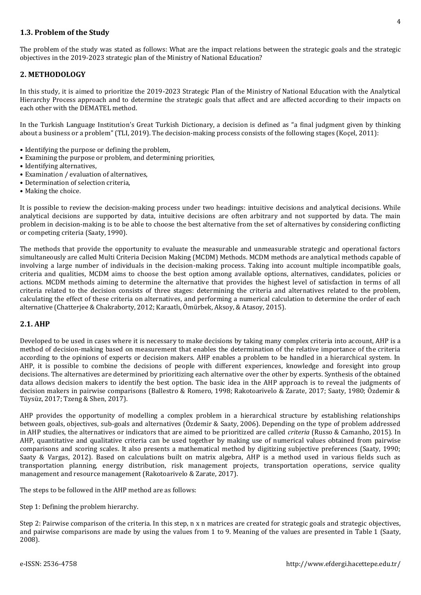## **1.3. Problem of the Study**

The problem of the study was stated as follows: What are the impact relations between the strategic goals and the strategic objectives in the 2019-2023 strategic plan of the Ministry of National Education?

## **2. METHODOLOGY**

In this study, it is aimed to prioritize the 2019-2023 Strategic Plan of the Ministry of National Education with the Analytical Hierarchy Process approach and to determine the strategic goals that affect and are affected according to their impacts on each other with the DEMATEL method.

In the Turkish Language Institution's Great Turkish Dictionary, a decision is defined as "a final judgment given by thinking about a business or a problem" (TLI, 2019). The decision-making process consists of the following stages (Koçel, 2011):

- Identifying the purpose or defining the problem,
- Examining the purpose or problem, and determining priorities,
- Identifying alternatives,
- Examination / evaluation of alternatives,
- Determination of selection criteria,
- Making the choice.

It is possible to review the decision-making process under two headings: intuitive decisions and analytical decisions. While analytical decisions are supported by data, intuitive decisions are often arbitrary and not supported by data. The main problem in decision-making is to be able to choose the best alternative from the set of alternatives by considering conflicting or competing criteria (Saaty, 1990).

The methods that provide the opportunity to evaluate the measurable and unmeasurable strategic and operational factors simultaneously are called Multi Criteria Decision Making (MCDM) Methods. MCDM methods are analytical methods capable of involving a large number of individuals in the decision-making process. Taking into account multiple incompatible goals, criteria and qualities, MCDM aims to choose the best option among available options, alternatives, candidates, policies or actions. MCDM methods aiming to determine the alternative that provides the highest level of satisfaction in terms of all criteria related to the decision consists of three stages: determining the criteria and alternatives related to the problem, calculating the effect of these criteria on alternatives, and performing a numerical calculation to determine the order of each alternative (Chatterjee & Chakraborty, 2012; Karaatlı, Ömürbek, Aksoy, & Atasoy, 2015).

## **2.1. AHP**

Developed to be used in cases where it is necessary to make decisions by taking many complex criteria into account, AHP is a method of decision-making based on measurement that enables the determination of the relative importance of the criteria according to the opinions of experts or decision makers. AHP enables a problem to be handled in a hierarchical system. In AHP, it is possible to combine the decisions of people with different experiences, knowledge and foresight into group decisions. The alternatives are determined by prioritizing each alternative over the other by experts. Synthesis of the obtained data allows decision makers to identify the best option. The basic idea in the AHP approach is to reveal the judgments of decision makers in pairwise comparisons (Ballestro & Romero, 1998; Rakotoarivelo & Zarate, 2017; Saaty, 1980; Özdemir & Tüysüz, 2017; Tzeng & Shen, 2017).

AHP provides the opportunity of modelling a complex problem in a hierarchical structure by establishing relationships between goals, objectives, sub-goals and alternatives (Özdemir & Saaty, 2006). Depending on the type of problem addressed in AHP studies, the alternatives or indicators that are aimed to be prioritized are called *criteria* (Russo & Camanho, 2015). In AHP, quantitative and qualitative criteria can be used together by making use of numerical values obtained from pairwise comparisons and scoring scales. It also presents a mathematical method by digitizing subjective preferences (Saaty, 1990; Saaty & Vargas, 2012). Based on calculations built on matrix algebra, AHP is a method used in various fields such as transportation planning, energy distribution, risk management projects, transportation operations, service quality management and resource management (Rakotoarivelo & Zarate, 2017).

The steps to be followed in the AHP method are as follows:

Step 1: Defining the problem hierarchy.

Step 2: Pairwise comparison of the criteria. In this step, n x n matrices are created for strategic goals and strategic objectives, and pairwise comparisons are made by using the values from 1 to 9. Meaning of the values are presented in Table 1 (Saaty, 2008).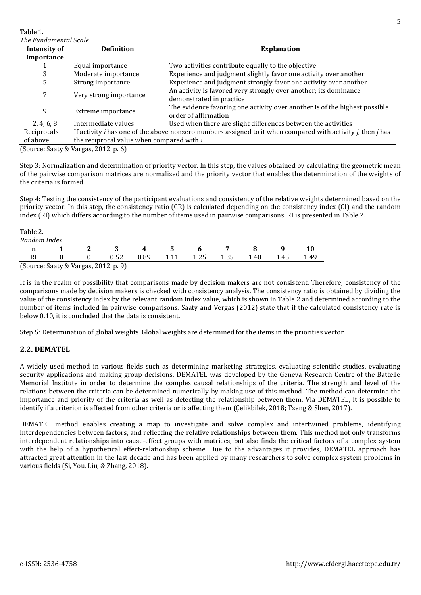Table 1. *The Fundamental Scale* **Intensity of Importance Definition Explanation** 1 Equal importance Two activities contribute equally to the objective 3 Moderate importance Experience and judgment slightly favor one activity over another 5 Strong importance Experience and judgment strongly favor one activity over another <sup>7</sup> Very strong importance An activity is favored very strongly over another; its dominance demonstrated in practice 9 Extreme importance The evidence favoring one activity over another is of the highest possible order of affirmation 2, 4, 6, 8 Intermediate values Used when there are slight differences between the activities Reciprocals of above If activity *i* has one of the above nonzero numbers assigned to it when compared with activity *j*, then *j* has the reciprocal value when compared with *i*

(Source: Saaty & Vargas, 2012, p. 6)

Step 3: Normalization and determination of priority vector. In this step, the values obtained by calculating the geometric mean of the pairwise comparison matrices are normalized and the priority vector that enables the determination of the weights of the criteria is formed.

Step 4: Testing the consistency of the participant evaluations and consistency of the relative weights determined based on the priority vector. In this step, the consistency ratio (CR) is calculated depending on the consistency index (CI) and the random index (RI) which differs according to the number of items used in pairwise comparisons. RI is presented in Table 2.

| Random | Index                       |                                |      |       |      |      |      |             |      |
|--------|-----------------------------|--------------------------------|------|-------|------|------|------|-------------|------|
| ш      |                             | w                              |      | w     |      |      |      |             | 10   |
| и      |                             | በ 52<br>0.JZ                   | 0.89 | 1 1 1 | 1.25 | 1.35 | 1.40 | 4 E<br>1.40 | 1.49 |
| $\sim$ | $\sim$ $\sim$ $\sim$ $\sim$ | $\sim$ $\sim$ $\sim$<br>$\sim$ |      |       |      |      |      |             |      |

(Source: Saaty & Vargas, 2012, p. 9)

It is in the realm of possibility that comparisons made by decision makers are not consistent. Therefore, consistency of the comparisons made by decision makers is checked with consistency analysis. The consistency ratio is obtained by dividing the value of the consistency index by the relevant random index value, which is shown in Table 2 and determined according to the number of items included in pairwise comparisons. Saaty and Vergas (2012) state that if the calculated consistency rate is below 0.10, it is concluded that the data is consistent.

Step 5: Determination of global weights. Global weights are determined for the items in the priorities vector.

## **2.2. DEMATEL**

Table 2.

A widely used method in various fields such as determining marketing strategies, evaluating scientific studies, evaluating security applications and making group decisions, DEMATEL was developed by the Geneva Research Centre of the Battelle Memorial Institute in order to determine the complex causal relationships of the criteria. The strength and level of the relations between the criteria can be determined numerically by making use of this method. The method can determine the importance and priority of the criteria as well as detecting the relationship between them. Via DEMATEL, it is possible to identify if a criterion is affected from other criteria or is affecting them (Çelikbilek, 2018; Tzeng & Shen, 2017).

DEMATEL method enables creating a map to investigate and solve complex and intertwined problems, identifying interdependencies between factors, and reflecting the relative relationships between them. This method not only transforms interdependent relationships into cause-effect groups with matrices, but also finds the critical factors of a complex system with the help of a hypothetical effect-relationship scheme. Due to the advantages it provides, DEMATEL approach has attracted great attention in the last decade and has been applied by many researchers to solve complex system problems in various fields (Si, You, Liu, & Zhang, 2018).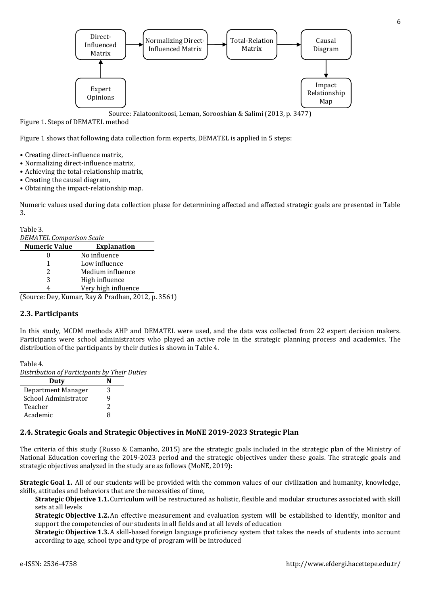

Source: Falatoonitoosi, Leman, Sorooshian & Salimi (2013, p. 3477)

Figure 1. Steps of DEMATEL method

Figure 1 shows that following data collection form experts, DEMATEL is applied in 5 steps:

- Creating direct-influence matrix,
- Normalizing direct-influence matrix,
- Achieving the total-relationship matrix,
- Creating the causal diagram,
- Obtaining the impact-relationship map.

Numeric values used during data collection phase for determining affected and affected strategic goals are presented in Table 3.

Table 3.

*DEMATEL Comparison Scale*

| <b>Numeric Value</b> | <b>Explanation</b>                         |
|----------------------|--------------------------------------------|
|                      | No influence                               |
| 1                    | Low influence                              |
| 2                    | Medium influence                           |
| 3                    | High influence                             |
| 4                    | Very high influence                        |
|                      | Course: Day Kumar Day & Bradhan 2012 n 356 |

(Source: Dey, Kumar, Ray & Pradhan, 2012, p. 3561)

## **2.3. Participants**

In this study, MCDM methods AHP and DEMATEL were used, and the data was collected from 22 expert decision makers. Participants were school administrators who played an active role in the strategic planning process and academics. The distribution of the participants by their duties is shown in Table 4.

Table 4. *Distribution of Participants by Their Duties*

| Duty                 |   |
|----------------------|---|
| Department Manager   | З |
| School Administrator |   |
| Teacher              | 2 |
| Academic             | Ω |

## **2.4. Strategic Goals and Strategic Objectives in MoNE 2019-2023 Strategic Plan**

The criteria of this study (Russo & Camanho, 2015) are the strategic goals included in the strategic plan of the Ministry of National Education covering the 2019-2023 period and the strategic objectives under these goals. The strategic goals and strategic objectives analyzed in the study are as follows (MoNE, 2019):

**Strategic Goal 1.** All of our students will be provided with the common values of our civilization and humanity, knowledge, skills, attitudes and behaviors that are the necessities of time,

**Strategic Objective 1.1.** Curriculum will be restructured as holistic, flexible and modular structures associated with skill sets at all levels

**Strategic Objective 1.2.**An effective measurement and evaluation system will be established to identify, monitor and support the competencies of our students in all fields and at all levels of education

**Strategic Objective 1.3.**A skill-based foreign language proficiency system that takes the needs of students into account according to age, school type and type of program will be introduced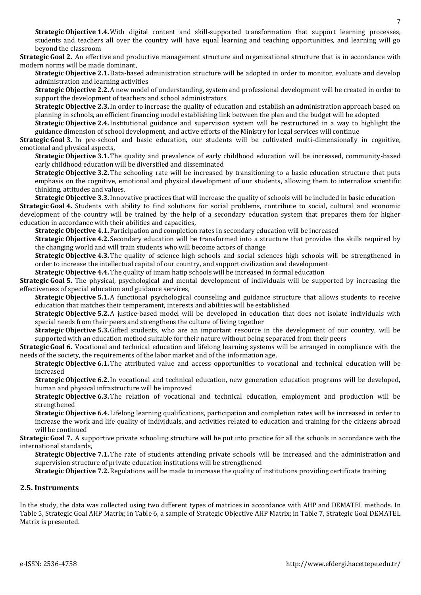**Strategic Objective 1.4.**With digital content and skill-supported transformation that support learning processes, students and teachers all over the country will have equal learning and teaching opportunities, and learning will go beyond the classroom

**Strategic Goal 2.** An effective and productive management structure and organizational structure that is in accordance with modern norms will be made dominant,

**Strategic Objective 2.1.**Data-based administration structure will be adopted in order to monitor, evaluate and develop administration and learning activities

**Strategic Objective 2.2.**A new model of understanding, system and professional development will be created in order to support the development of teachers and school administrators

**Strategic Objective 2.3.**In order to increase the quality of education and establish an administration approach based on planning in schools, an efficient financing model establishing link between the plan and the budget will be adopted

**Strategic Objective 2.4.**Institutional guidance and supervision system will be restructured in a way to highlight the guidance dimension of school development, and active efforts of the Ministry for legal services will continue

**Strategic Goal 3.** In pre-school and basic education, our students will be cultivated multi-dimensionally in cognitive, emotional and physical aspects,

**Strategic Objective 3.1.** The quality and prevalence of early childhood education will be increased, community-based early childhood education will be diversified and disseminated

**Strategic Objective 3.2.** The schooling rate will be increased by transitioning to a basic education structure that puts emphasis on the cognitive, emotional and physical development of our students, allowing them to internalize scientific thinking, attitudes and values.

**Strategic Objective 3.3.**Innovative practices that will increase the quality of schools will be included in basic education

**Strategic Goal 4.** Students with ability to find solutions for social problems, contribute to social, cultural and economic development of the country will be trained by the help of a secondary education system that prepares them for higher education in accordance with their abilities and capacities,

**Strategic Objective 4.1.** Participation and completion rates in secondary education will be increased

**Strategic Objective 4.2.** Secondary education will be transformed into a structure that provides the skills required by the changing world and will train students who will become actors of change

**Strategic Objective 4.3.** The quality of science high schools and social sciences high schools will be strengthened in order to increase the intellectual capital of our country, and support civilization and development

**Strategic Objective 4.4.** The quality of imam hatip schools will be increased in formal education

**Strategic Goal 5.** The physical, psychological and mental development of individuals will be supported by increasing the effectiveness of special education and guidance services,

**Strategic Objective 5.1.**A functional psychological counseling and guidance structure that allows students to receive education that matches their temperament, interests and abilities will be established

**Strategic Objective 5.2.**A justice-based model will be developed in education that does not isolate individuals with special needs from their peers and strengthens the culture of living together

**Strategic Objective 5.3.**Gifted students, who are an important resource in the development of our country, will be supported with an education method suitable for their nature without being separated from their peers

**Strategic Goal 6.** Vocational and technical education and lifelong learning systems will be arranged in compliance with the needs of the society, the requirements of the labor market and of the information age,

**Strategic Objective 6.1.** The attributed value and access opportunities to vocational and technical education will be increased

**Strategic Objective 6.2.**In vocational and technical education, new generation education programs will be developed, human and physical infrastructure will be improved

**Strategic Objective 6.3.** The relation of vocational and technical education, employment and production will be strengthened

**Strategic Objective 6.4.** Lifelong learning qualifications, participation and completion rates will be increased in order to increase the work and life quality of individuals, and activities related to education and training for the citizens abroad will be continued

**Strategic Goal 7.** A supportive private schooling structure will be put into practice for all the schools in accordance with the international standards,

**Strategic Objective 7.1.** The rate of students attending private schools will be increased and the administration and supervision structure of private education institutions will be strengthened

**Strategic Objective 7.2.**Regulations will be made to increase the quality of institutions providing certificate training

## **2.5. Instruments**

In the study, the data was collected using two different types of matrices in accordance with AHP and DEMATEL methods. In Table 5, Strategic Goal AHP Matrix; in Table 6, a sample of Strategic Objective AHP Matrix; in Table 7, Strategic Goal DEMATEL Matrix is presented.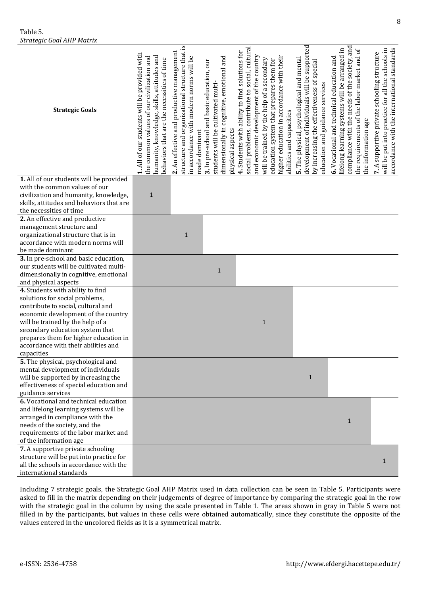| <b>Strategic Goals</b>                   | 1. All of our students will be provided with<br>humanity, knowledge, skills, attitudes and<br>the common values of our civilization and<br>behaviors that are the necessities of time | structure and organizational structure that is<br>2. An effective and productive management<br>in accordance with modern norms will be<br>made dominant | dimensionally in cognitive, emotional and<br>3. In pre-school and basic education, our<br>students will be cultivated multi-<br>physical aspects | social problems, contribute to social, cultural<br>4. Students with ability to find solutions for<br>and economic development of the country<br>higher education in accordance with their<br>will be trained by the help of a secondary<br>education system that prepares them for<br>abilities and capacities | development of individuals will be supported<br>5. The physical, psychological and mental<br>by increasing the effectiveness of special<br>education and guidance services | compliance with the needs of the society, and<br>ifelong learning systems will be arranged in<br>the requirements of the labor market and of<br>6. Vocational and technical education and<br>the information age | accordance with the international standards<br>will be put into practice for all the schools in<br>7. A supportive private schooling structure |
|------------------------------------------|---------------------------------------------------------------------------------------------------------------------------------------------------------------------------------------|---------------------------------------------------------------------------------------------------------------------------------------------------------|--------------------------------------------------------------------------------------------------------------------------------------------------|----------------------------------------------------------------------------------------------------------------------------------------------------------------------------------------------------------------------------------------------------------------------------------------------------------------|----------------------------------------------------------------------------------------------------------------------------------------------------------------------------|------------------------------------------------------------------------------------------------------------------------------------------------------------------------------------------------------------------|------------------------------------------------------------------------------------------------------------------------------------------------|
| 1. All of our students will be provided  |                                                                                                                                                                                       |                                                                                                                                                         |                                                                                                                                                  |                                                                                                                                                                                                                                                                                                                |                                                                                                                                                                            |                                                                                                                                                                                                                  |                                                                                                                                                |
| with the common values of our            |                                                                                                                                                                                       |                                                                                                                                                         |                                                                                                                                                  |                                                                                                                                                                                                                                                                                                                |                                                                                                                                                                            |                                                                                                                                                                                                                  |                                                                                                                                                |
| civilization and humanity, knowledge,    | $\mathbf{1}$                                                                                                                                                                          |                                                                                                                                                         |                                                                                                                                                  |                                                                                                                                                                                                                                                                                                                |                                                                                                                                                                            |                                                                                                                                                                                                                  |                                                                                                                                                |
| skills, attitudes and behaviors that are |                                                                                                                                                                                       |                                                                                                                                                         |                                                                                                                                                  |                                                                                                                                                                                                                                                                                                                |                                                                                                                                                                            |                                                                                                                                                                                                                  |                                                                                                                                                |
| the necessities of time                  |                                                                                                                                                                                       |                                                                                                                                                         |                                                                                                                                                  |                                                                                                                                                                                                                                                                                                                |                                                                                                                                                                            |                                                                                                                                                                                                                  |                                                                                                                                                |
| 2. An effective and productive           |                                                                                                                                                                                       |                                                                                                                                                         |                                                                                                                                                  |                                                                                                                                                                                                                                                                                                                |                                                                                                                                                                            |                                                                                                                                                                                                                  |                                                                                                                                                |
| management structure and                 |                                                                                                                                                                                       |                                                                                                                                                         |                                                                                                                                                  |                                                                                                                                                                                                                                                                                                                |                                                                                                                                                                            |                                                                                                                                                                                                                  |                                                                                                                                                |
| organizational structure that is in      |                                                                                                                                                                                       | $\mathbf{1}$                                                                                                                                            |                                                                                                                                                  |                                                                                                                                                                                                                                                                                                                |                                                                                                                                                                            |                                                                                                                                                                                                                  |                                                                                                                                                |
| accordance with modern norms will        |                                                                                                                                                                                       |                                                                                                                                                         |                                                                                                                                                  |                                                                                                                                                                                                                                                                                                                |                                                                                                                                                                            |                                                                                                                                                                                                                  |                                                                                                                                                |
| be made dominant                         |                                                                                                                                                                                       |                                                                                                                                                         |                                                                                                                                                  |                                                                                                                                                                                                                                                                                                                |                                                                                                                                                                            |                                                                                                                                                                                                                  |                                                                                                                                                |
| 3. In pre-school and basic education,    |                                                                                                                                                                                       |                                                                                                                                                         |                                                                                                                                                  |                                                                                                                                                                                                                                                                                                                |                                                                                                                                                                            |                                                                                                                                                                                                                  |                                                                                                                                                |
| our students will be cultivated multi-   |                                                                                                                                                                                       |                                                                                                                                                         |                                                                                                                                                  |                                                                                                                                                                                                                                                                                                                |                                                                                                                                                                            |                                                                                                                                                                                                                  |                                                                                                                                                |
| dimensionally in cognitive, emotional    |                                                                                                                                                                                       |                                                                                                                                                         | $\mathbf 1$                                                                                                                                      |                                                                                                                                                                                                                                                                                                                |                                                                                                                                                                            |                                                                                                                                                                                                                  |                                                                                                                                                |
| and physical aspects                     |                                                                                                                                                                                       |                                                                                                                                                         |                                                                                                                                                  |                                                                                                                                                                                                                                                                                                                |                                                                                                                                                                            |                                                                                                                                                                                                                  |                                                                                                                                                |
| 4. Students with ability to find         |                                                                                                                                                                                       |                                                                                                                                                         |                                                                                                                                                  |                                                                                                                                                                                                                                                                                                                |                                                                                                                                                                            |                                                                                                                                                                                                                  |                                                                                                                                                |
| solutions for social problems,           |                                                                                                                                                                                       |                                                                                                                                                         |                                                                                                                                                  |                                                                                                                                                                                                                                                                                                                |                                                                                                                                                                            |                                                                                                                                                                                                                  |                                                                                                                                                |
| contribute to social, cultural and       |                                                                                                                                                                                       |                                                                                                                                                         |                                                                                                                                                  |                                                                                                                                                                                                                                                                                                                |                                                                                                                                                                            |                                                                                                                                                                                                                  |                                                                                                                                                |
| economic development of the country      |                                                                                                                                                                                       |                                                                                                                                                         |                                                                                                                                                  |                                                                                                                                                                                                                                                                                                                |                                                                                                                                                                            |                                                                                                                                                                                                                  |                                                                                                                                                |
| will be trained by the help of a         |                                                                                                                                                                                       |                                                                                                                                                         |                                                                                                                                                  | $\mathbf{1}$                                                                                                                                                                                                                                                                                                   |                                                                                                                                                                            |                                                                                                                                                                                                                  |                                                                                                                                                |
| secondary education system that          |                                                                                                                                                                                       |                                                                                                                                                         |                                                                                                                                                  |                                                                                                                                                                                                                                                                                                                |                                                                                                                                                                            |                                                                                                                                                                                                                  |                                                                                                                                                |
| prepares them for higher education in    |                                                                                                                                                                                       |                                                                                                                                                         |                                                                                                                                                  |                                                                                                                                                                                                                                                                                                                |                                                                                                                                                                            |                                                                                                                                                                                                                  |                                                                                                                                                |
| accordance with their abilities and      |                                                                                                                                                                                       |                                                                                                                                                         |                                                                                                                                                  |                                                                                                                                                                                                                                                                                                                |                                                                                                                                                                            |                                                                                                                                                                                                                  |                                                                                                                                                |
| capacities                               |                                                                                                                                                                                       |                                                                                                                                                         |                                                                                                                                                  |                                                                                                                                                                                                                                                                                                                |                                                                                                                                                                            |                                                                                                                                                                                                                  |                                                                                                                                                |
| 5. The physical, psychological and       |                                                                                                                                                                                       |                                                                                                                                                         |                                                                                                                                                  |                                                                                                                                                                                                                                                                                                                |                                                                                                                                                                            |                                                                                                                                                                                                                  |                                                                                                                                                |
| mental development of individuals        |                                                                                                                                                                                       |                                                                                                                                                         |                                                                                                                                                  |                                                                                                                                                                                                                                                                                                                |                                                                                                                                                                            |                                                                                                                                                                                                                  |                                                                                                                                                |
|                                          |                                                                                                                                                                                       |                                                                                                                                                         |                                                                                                                                                  |                                                                                                                                                                                                                                                                                                                |                                                                                                                                                                            |                                                                                                                                                                                                                  |                                                                                                                                                |
| will be supported by increasing the      |                                                                                                                                                                                       |                                                                                                                                                         |                                                                                                                                                  |                                                                                                                                                                                                                                                                                                                | $\mathbf{1}$                                                                                                                                                               |                                                                                                                                                                                                                  |                                                                                                                                                |
| effectiveness of special education and   |                                                                                                                                                                                       |                                                                                                                                                         |                                                                                                                                                  |                                                                                                                                                                                                                                                                                                                |                                                                                                                                                                            |                                                                                                                                                                                                                  |                                                                                                                                                |
| guidance services                        |                                                                                                                                                                                       |                                                                                                                                                         |                                                                                                                                                  |                                                                                                                                                                                                                                                                                                                |                                                                                                                                                                            |                                                                                                                                                                                                                  |                                                                                                                                                |
| 6. Vocational and technical education    |                                                                                                                                                                                       |                                                                                                                                                         |                                                                                                                                                  |                                                                                                                                                                                                                                                                                                                |                                                                                                                                                                            |                                                                                                                                                                                                                  |                                                                                                                                                |
| and lifelong learning systems will be    |                                                                                                                                                                                       |                                                                                                                                                         |                                                                                                                                                  |                                                                                                                                                                                                                                                                                                                |                                                                                                                                                                            |                                                                                                                                                                                                                  |                                                                                                                                                |
| arranged in compliance with the          |                                                                                                                                                                                       |                                                                                                                                                         |                                                                                                                                                  |                                                                                                                                                                                                                                                                                                                |                                                                                                                                                                            | $\mathbf{1}$                                                                                                                                                                                                     |                                                                                                                                                |
| needs of the society, and the            |                                                                                                                                                                                       |                                                                                                                                                         |                                                                                                                                                  |                                                                                                                                                                                                                                                                                                                |                                                                                                                                                                            |                                                                                                                                                                                                                  |                                                                                                                                                |
| requirements of the labor market and     |                                                                                                                                                                                       |                                                                                                                                                         |                                                                                                                                                  |                                                                                                                                                                                                                                                                                                                |                                                                                                                                                                            |                                                                                                                                                                                                                  |                                                                                                                                                |
| of the information age                   |                                                                                                                                                                                       |                                                                                                                                                         |                                                                                                                                                  |                                                                                                                                                                                                                                                                                                                |                                                                                                                                                                            |                                                                                                                                                                                                                  |                                                                                                                                                |
| 7. A supportive private schooling        |                                                                                                                                                                                       |                                                                                                                                                         |                                                                                                                                                  |                                                                                                                                                                                                                                                                                                                |                                                                                                                                                                            |                                                                                                                                                                                                                  |                                                                                                                                                |
| structure will be put into practice for  |                                                                                                                                                                                       |                                                                                                                                                         |                                                                                                                                                  |                                                                                                                                                                                                                                                                                                                |                                                                                                                                                                            |                                                                                                                                                                                                                  | $\mathbf{1}$                                                                                                                                   |
| all the schools in accordance with the   |                                                                                                                                                                                       |                                                                                                                                                         |                                                                                                                                                  |                                                                                                                                                                                                                                                                                                                |                                                                                                                                                                            |                                                                                                                                                                                                                  |                                                                                                                                                |
| international standards                  |                                                                                                                                                                                       |                                                                                                                                                         |                                                                                                                                                  |                                                                                                                                                                                                                                                                                                                |                                                                                                                                                                            |                                                                                                                                                                                                                  |                                                                                                                                                |

Including 7 strategic goals, the Strategic Goal AHP Matrix used in data collection can be seen in Table 5. Participants were asked to fill in the matrix depending on their judgements of degree of importance by comparing the strategic goal in the row with the strategic goal in the column by using the scale presented in Table 1. The areas shown in gray in Table 5 were not filled in by the participants, but values in these cells were obtained automatically, since they constitute the opposite of the values entered in the uncolored fields as it is a symmetrical matrix.

Table 5.

*Strategic Goal AHP Matrix*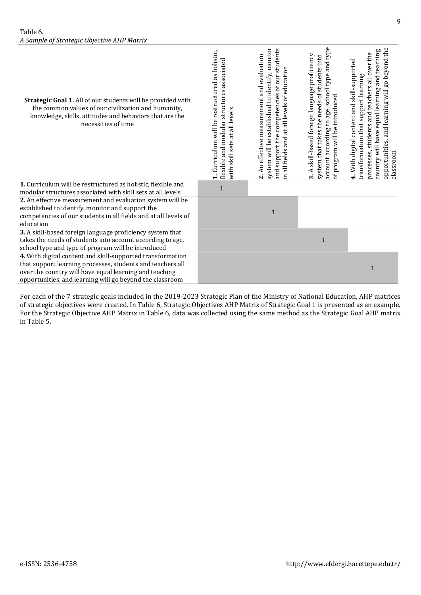| Strategic Goal 1. All of our students will be provided with<br>the common values of our civilization and humanity,<br>knowledge, skills, attitudes and behaviors that are the<br>necessities of time                                           | 1. Curriculum will be restructured as holistic,<br>structures associated<br>all levels<br>flexible and modular<br>đ<br>sets<br>skill<br>with | established to identify, monitor<br>students<br>2. An effective measurement and evaluation<br>n all fields and at all levels of education<br>competencies of our<br>and support the<br>system will be | and type<br>3. A skill-based foreign language proficiency<br>system that takes the needs of students into<br>type<br>account according to age, school<br>of program will be introduced | opportunities, and learning will go beyond the<br>country will have equal learning and teaching<br>students and teachers all over the<br>4. With digital content and skill-supported<br>transformation that support learning<br>processes,<br>classroom |
|------------------------------------------------------------------------------------------------------------------------------------------------------------------------------------------------------------------------------------------------|----------------------------------------------------------------------------------------------------------------------------------------------|-------------------------------------------------------------------------------------------------------------------------------------------------------------------------------------------------------|----------------------------------------------------------------------------------------------------------------------------------------------------------------------------------------|---------------------------------------------------------------------------------------------------------------------------------------------------------------------------------------------------------------------------------------------------------|
| 1. Curriculum will be restructured as holistic, flexible and<br>modular structures associated with skill sets at all levels                                                                                                                    | 1                                                                                                                                            |                                                                                                                                                                                                       |                                                                                                                                                                                        |                                                                                                                                                                                                                                                         |
| 2. An effective measurement and evaluation system will be<br>established to identify, monitor and support the<br>competencies of our students in all fields and at all levels of<br>education                                                  |                                                                                                                                              | 1                                                                                                                                                                                                     |                                                                                                                                                                                        |                                                                                                                                                                                                                                                         |
| 3. A skill-based foreign language proficiency system that<br>takes the needs of students into account according to age,<br>school type and type of program will be introduced                                                                  |                                                                                                                                              |                                                                                                                                                                                                       | $\mathbf{1}$                                                                                                                                                                           |                                                                                                                                                                                                                                                         |
| 4. With digital content and skill-supported transformation<br>that support learning processes, students and teachers all<br>over the country will have equal learning and teaching<br>opportunities, and learning will go beyond the classroom |                                                                                                                                              |                                                                                                                                                                                                       |                                                                                                                                                                                        | 1                                                                                                                                                                                                                                                       |

For each of the 7 strategic goals included in the 2019-2023 Strategic Plan of the Ministry of National Education, AHP matrices of strategic objectives were created. In Table 6, Strategic Objectives AHP Matrix of Strategic Goal 1 is presented as an example. For the Strategic Objective AHP Matrix in Table 6, data was collected using the same method as the Strategic Goal AHP matrix in Table 5.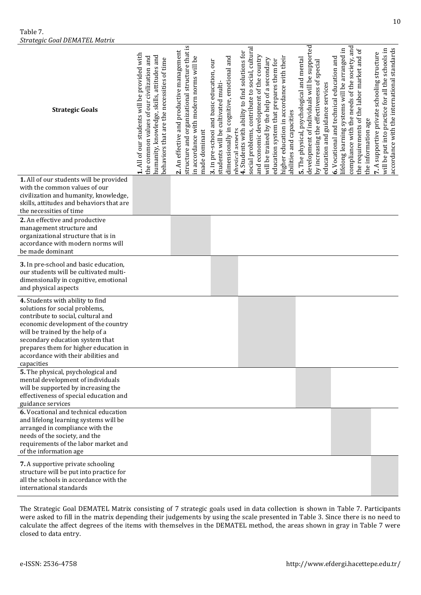Table 7. *Strategic Goal DEMATEL Matrix*

| <b>Strategic Goals</b>                                                                                                                                                                                                                                                                                               | 1. All of our students will be provided with<br>humanity, knowledge, skills, attitudes and<br>the common values of our civilization and<br>behaviors that are the necessities of time | structure and organizational structure that is<br>2. An effective and productive management<br>in accordance with modern norms will be<br>made dominant | dimensionally in cognitive, emotional and<br>3. In pre-school and basic education, our<br>students will be cultivated multi- | social problems, contribute to social, cultural<br>4. Students with ability to find solutions for<br>and economic development of the country<br>will be trained by the help of a secondary<br>education system that prepares them for<br>nhvsiral asnerts | higher education in accordance with their<br>abilities and capacities | development of individuals will be supported<br>5. The physical, psychological and mental<br>by increasing the effectiveness of special<br>education and guidance services | compliance with the needs of the society, and<br>ifelong learning systems will be arranged in<br>6. Vocational and technical education and | the requirements of the labor market and of<br>the information age | accordance with the international standards<br>will be put into practice for all the schools in<br>supportive private schooling structure<br>7. A |
|----------------------------------------------------------------------------------------------------------------------------------------------------------------------------------------------------------------------------------------------------------------------------------------------------------------------|---------------------------------------------------------------------------------------------------------------------------------------------------------------------------------------|---------------------------------------------------------------------------------------------------------------------------------------------------------|------------------------------------------------------------------------------------------------------------------------------|-----------------------------------------------------------------------------------------------------------------------------------------------------------------------------------------------------------------------------------------------------------|-----------------------------------------------------------------------|----------------------------------------------------------------------------------------------------------------------------------------------------------------------------|--------------------------------------------------------------------------------------------------------------------------------------------|--------------------------------------------------------------------|---------------------------------------------------------------------------------------------------------------------------------------------------|
| 1. All of our students will be provided<br>with the common values of our<br>civilization and humanity, knowledge,<br>skills, attitudes and behaviors that are<br>the necessities of time                                                                                                                             |                                                                                                                                                                                       |                                                                                                                                                         |                                                                                                                              |                                                                                                                                                                                                                                                           |                                                                       |                                                                                                                                                                            |                                                                                                                                            |                                                                    |                                                                                                                                                   |
| 2. An effective and productive<br>management structure and<br>organizational structure that is in<br>accordance with modern norms will<br>be made dominant                                                                                                                                                           |                                                                                                                                                                                       |                                                                                                                                                         |                                                                                                                              |                                                                                                                                                                                                                                                           |                                                                       |                                                                                                                                                                            |                                                                                                                                            |                                                                    |                                                                                                                                                   |
| 3. In pre-school and basic education,<br>our students will be cultivated multi-<br>dimensionally in cognitive, emotional<br>and physical aspects                                                                                                                                                                     |                                                                                                                                                                                       |                                                                                                                                                         |                                                                                                                              |                                                                                                                                                                                                                                                           |                                                                       |                                                                                                                                                                            |                                                                                                                                            |                                                                    |                                                                                                                                                   |
| 4. Students with ability to find<br>solutions for social problems,<br>contribute to social, cultural and<br>economic development of the country<br>will be trained by the help of a<br>secondary education system that<br>prepares them for higher education in<br>accordance with their abilities and<br>capacities |                                                                                                                                                                                       |                                                                                                                                                         |                                                                                                                              |                                                                                                                                                                                                                                                           |                                                                       |                                                                                                                                                                            |                                                                                                                                            |                                                                    |                                                                                                                                                   |
| 5. The physical, psychological and<br>mental development of individuals<br>will be supported by increasing the<br>effectiveness of special education and<br>guidance services                                                                                                                                        |                                                                                                                                                                                       |                                                                                                                                                         |                                                                                                                              |                                                                                                                                                                                                                                                           |                                                                       |                                                                                                                                                                            |                                                                                                                                            |                                                                    |                                                                                                                                                   |
| 6. Vocational and technical education<br>and lifelong learning systems will be<br>arranged in compliance with the<br>needs of the society, and the<br>requirements of the labor market and<br>of the information age                                                                                                 |                                                                                                                                                                                       |                                                                                                                                                         |                                                                                                                              |                                                                                                                                                                                                                                                           |                                                                       |                                                                                                                                                                            |                                                                                                                                            |                                                                    |                                                                                                                                                   |
| 7. A supportive private schooling<br>structure will be put into practice for<br>all the schools in accordance with the<br>international standards                                                                                                                                                                    |                                                                                                                                                                                       |                                                                                                                                                         |                                                                                                                              |                                                                                                                                                                                                                                                           |                                                                       |                                                                                                                                                                            |                                                                                                                                            |                                                                    |                                                                                                                                                   |

The Strategic Goal DEMATEL Matrix consisting of 7 strategic goals used in data collection is shown in Table 7. Participants were asked to fill in the matrix depending their judgements by using the scale presented in Table 3. Since there is no need to calculate the affect degrees of the items with themselves in the DEMATEL method, the areas shown in gray in Table 7 were closed to data entry.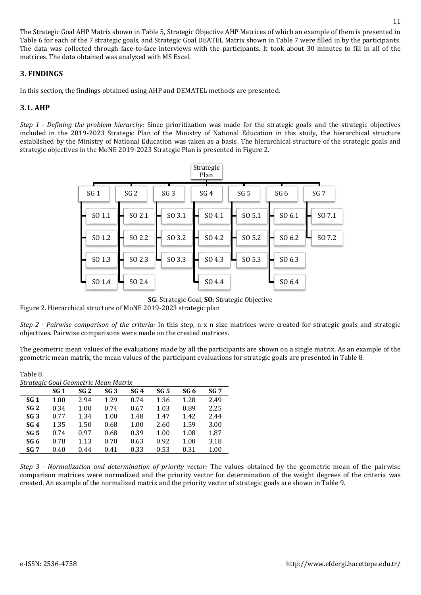The Strategic Goal AHP Matrix shown in Table 5, Strategic Objective AHP Matrices of which an example of them is presented in Table 6 for each of the 7 strategic goals, and Strategic Goal DEATEL Matrix shown in Table 7 were filled in by the participants. The data was collected through face-to-face interviews with the participants. It took about 30 minutes to fill in all of the matrices. The data obtained was analyzed with MS Excel.

## **3. FINDINGS**

In this section, the findings obtained using AHP and DEMATEL methods are presented.

## **3.1. AHP**

*Step 1 - Defining the problem hierarchy:* Since prioritization was made for the strategic goals and the strategic objectives included in the 2019-2023 Strategic Plan of the Ministry of National Education in this study, the hierarchical structure established by the Ministry of National Education was taken as a basis. The hierarchical structure of the strategic goals and strategic objectives in the MoNE 2019-2023 Strategic Plan is presented in Figure 2.

|                 |                 |                 | Strategic<br>Plan |                 |        |                 |
|-----------------|-----------------|-----------------|-------------------|-----------------|--------|-----------------|
| SG <sub>1</sub> | SG <sub>2</sub> | SG <sub>3</sub> | SG <sub>4</sub>   | SG <sub>5</sub> | SG 6   | SG <sub>7</sub> |
| SO 1.1          | SO 2.1          | SO 3.1          | SO 4.1            | SO 5.1          | SO 6.1 | SO 7.1          |
| SO 1.2          | SO 2.2          | SO 3.2          | SO 4.2            | SO 5.2          | SO 6.2 | SO 7.2          |
| SO 1.3          | SO 2.3          | SO 3.3          | SO 4.3            | SO 5.3          | SO 6.3 |                 |
| SO 1.4          | SO 2.4          |                 | SO 4.4            |                 | SO 6.4 |                 |

**SG**: Strategic Goal, **SO**: Strategic Objective

Figure 2. Hierarchical structure of MoNE 2019-2023 strategic plan

*Step 2 - Pairwise comparison of the criteria:* In this step, n x n size matrices were created for strategic goals and strategic objectives. Pairwise comparisons were made on the created matrices.

The geometric mean values of the evaluations made by all the participants are shown on a single matrix. As an example of the geometric mean matrix, the mean values of the participant evaluations for strategic goals are presented in Table 8.

#### Table 8.

| Strategic Goal Geometric Mean Matrix |                 |                 |                 |                 |                 |      |                 |
|--------------------------------------|-----------------|-----------------|-----------------|-----------------|-----------------|------|-----------------|
|                                      | SG <sub>1</sub> | SG <sub>2</sub> | SG <sub>3</sub> | SG <sub>4</sub> | SG <sub>5</sub> | SG 6 | SG <sub>7</sub> |
| SG <sub>1</sub>                      | 1.00            | 2.94            | 1.29            | 0.74            | 1.36            | 1.28 | 2.49            |
| SG <sub>2</sub>                      | 0.34            | 1.00            | 0.74            | 0.67            | 1.03            | 0.89 | 2.25            |
| SG <sub>3</sub>                      | 0.77            | 1.34            | 1.00            | 1.48            | 1.47            | 1.42 | 2.44            |
| SG4                                  | 1.35            | 1.50            | 0.68            | 1.00            | 2.60            | 1.59 | 3.00            |
| SG <sub>5</sub>                      | 0.74            | 0.97            | 0.68            | 0.39            | 1.00            | 1.08 | 1.87            |
| SG 6                                 | 0.78            | 1.13            | 0.70            | 0.63            | 0.92            | 1.00 | 3.18            |
| SG <sub>7</sub>                      | 0.40            | 0.44            | 0.41            | 0.33            | 0.53            | 0.31 | 1.00            |

*Step 3 - Normalization and determination of priority vector:* The values obtained by the geometric mean of the pairwise comparison matrices were normalized and the priority vector for determination of the weight degrees of the criteria was created. An example of the normalized matrix and the priority vector of strategic goals are shown in Table 9.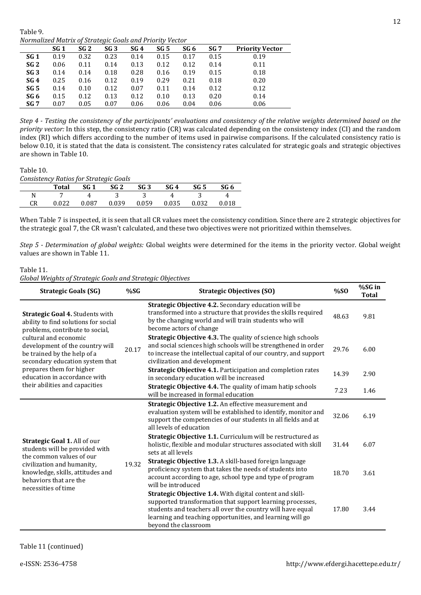Table 9. *Normalized Matrix of Strategic Goals and Priority Vector*

| <u>IVOI MUILLEU MUU IA OFIJU ULEULU UOUIS UNU I FIOFILY VELIOF</u> |      |      |                 |      |      |      |                 |                        |
|--------------------------------------------------------------------|------|------|-----------------|------|------|------|-----------------|------------------------|
|                                                                    | SG 1 | SG 2 | SG <sub>3</sub> | SG 4 | SG 5 | SG 6 | SG <sub>7</sub> | <b>Priority Vector</b> |
| SG 1                                                               | 0.19 | 0.32 | 0.23            | 0.14 | 0.15 | 0.17 | 0.15            | 0.19                   |
| SG <sub>2</sub>                                                    | 0.06 | 0.11 | 0.14            | 0.13 | 0.12 | 0.12 | 0.14            | 0.11                   |
| SG <sub>3</sub>                                                    | 0.14 | 0.14 | 0.18            | 0.28 | 0.16 | 0.19 | 0.15            | 0.18                   |
| SG4                                                                | 0.25 | 0.16 | 0.12            | 0.19 | 0.29 | 0.21 | 0.18            | 0.20                   |
| SG <sub>5</sub>                                                    | 0.14 | 0.10 | 0.12            | 0.07 | 0.11 | 0.14 | 0.12            | 0.12                   |
| SG 6                                                               | 0.15 | 0.12 | 0.13            | 0.12 | 0.10 | 0.13 | 0.20            | 0.14                   |
| SG 7                                                               | 0.07 | 0.05 | 0.07            | 0.06 | 0.06 | 0.04 | 0.06            | 0.06                   |
|                                                                    |      |      |                 |      |      |      |                 |                        |

*Step 4 - Testing the consistency of the participants' evaluations and consistency of the relative weights determined based on the priority vector:* In this step, the consistency ratio (CR) was calculated depending on the consistency index (CI) and the random index (RI) which differs according to the number of items used in pairwise comparisons. If the calculated consistency ratio is below 0.10, it is stated that the data is consistent. The consistency rates calculated for strategic goals and strategic objectives are shown in Table 10.

## Table 10.

*Consistency Ratios for Strategic Goals*

|    | Total | $SG 1$ $SG 2$ |       | SG 3  | SG 4  | SG 5  | SG 6  |
|----|-------|---------------|-------|-------|-------|-------|-------|
|    |       |               |       |       |       |       | 4     |
| CR | 0.022 | 0.087         | 0.039 | 0.059 | 0.035 | 0.032 | 0.018 |

When Table 7 is inspected, it is seen that all CR values meet the consistency condition. Since there are 2 strategic objectives for the strategic goal 7, the CR wasn't calculated, and these two objectives were not prioritized within themselves.

*Step 5 - Determination of global weights:* Global weights were determined for the items in the priority vector. Global weight values are shown in Table 11.

#### Table 11. *Global Weights of Strategic Goals and Strategic Objectives*

| <b>Strategic Goals (SG)</b>                                                                                                | %SG   | <b>Strategic Objectives (SO)</b>                                                                                                                                                                                                                                                | %SO   | %SG in<br><b>Total</b> |
|----------------------------------------------------------------------------------------------------------------------------|-------|---------------------------------------------------------------------------------------------------------------------------------------------------------------------------------------------------------------------------------------------------------------------------------|-------|------------------------|
| <b>Strategic Goal 4. Students with</b><br>ability to find solutions for social<br>problems, contribute to social,          |       | Strategic Objective 4.2. Secondary education will be<br>transformed into a structure that provides the skills required<br>by the changing world and will train students who will<br>become actors of change                                                                     | 48.63 | 9.81                   |
| cultural and economic<br>development of the country will<br>be trained by the help of a<br>secondary education system that | 20.17 | <b>Strategic Objective 4.3.</b> The quality of science high schools<br>and social sciences high schools will be strengthened in order<br>to increase the intellectual capital of our country, and support<br>civilization and development                                       | 29.76 | 6.00                   |
| prepares them for higher<br>education in accordance with                                                                   |       | Strategic Objective 4.1. Participation and completion rates<br>in secondary education will be increased                                                                                                                                                                         | 14.39 | 2.90                   |
| their abilities and capacities                                                                                             |       | Strategic Objective 4.4. The quality of imam hatip schools<br>will be increased in formal education                                                                                                                                                                             | 7.23  | 1.46                   |
|                                                                                                                            |       | Strategic Objective 1.2. An effective measurement and<br>evaluation system will be established to identify, monitor and<br>support the competencies of our students in all fields and at<br>all levels of education                                                             | 32.06 | 6.19                   |
| Strategic Goal 1. All of our<br>students will be provided with<br>the common values of our                                 | 19.32 | Strategic Objective 1.1. Curriculum will be restructured as<br>holistic, flexible and modular structures associated with skill<br>sets at all levels                                                                                                                            | 31.44 | 6.07                   |
| civilization and humanity,<br>knowledge, skills, attitudes and<br>behaviors that are the<br>necessities of time            |       | Strategic Objective 1.3. A skill-based foreign language<br>proficiency system that takes the needs of students into<br>account according to age, school type and type of program<br>will be introduced                                                                          | 18.70 | 3.61                   |
|                                                                                                                            |       | <b>Strategic Objective 1.4.</b> With digital content and skill-<br>supported transformation that support learning processes,<br>students and teachers all over the country will have equal<br>learning and teaching opportunities, and learning will go<br>beyond the classroom | 17.80 | 3.44                   |

Table 11 (continued)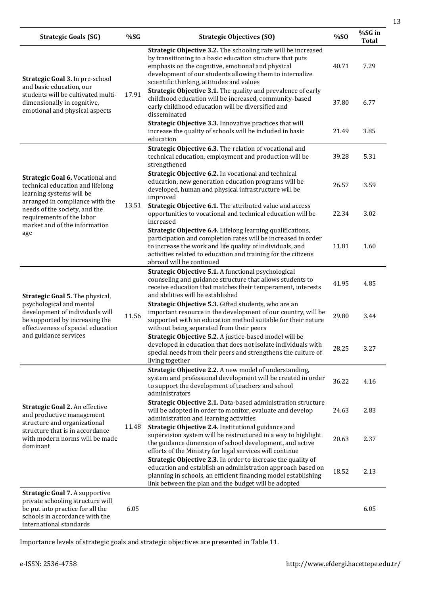| <b>Strategic Goals (SG)</b>                                                                                                                                                | %SG   | <b>Strategic Objectives (SO)</b>                                                                                                                                                                                                                                                         | %SO   | %SG in<br><b>Total</b> |
|----------------------------------------------------------------------------------------------------------------------------------------------------------------------------|-------|------------------------------------------------------------------------------------------------------------------------------------------------------------------------------------------------------------------------------------------------------------------------------------------|-------|------------------------|
| Strategic Goal 3. In pre-school                                                                                                                                            |       | Strategic Objective 3.2. The schooling rate will be increased<br>by transitioning to a basic education structure that puts<br>emphasis on the cognitive, emotional and physical<br>development of our students allowing them to internalize<br>scientific thinking, attitudes and values | 40.71 | 7.29                   |
| and basic education, our<br>students will be cultivated multi-<br>dimensionally in cognitive,<br>emotional and physical aspects                                            | 17.91 | <b>Strategic Objective 3.1.</b> The quality and prevalence of early<br>childhood education will be increased, community-based<br>early childhood education will be diversified and<br>disseminated                                                                                       | 37.80 | 6.77                   |
|                                                                                                                                                                            |       | Strategic Objective 3.3. Innovative practices that will<br>increase the quality of schools will be included in basic<br>education                                                                                                                                                        | 21.49 | 3.85                   |
|                                                                                                                                                                            |       | Strategic Objective 6.3. The relation of vocational and<br>technical education, employment and production will be<br>strengthened                                                                                                                                                        | 39.28 | 5.31                   |
| Strategic Goal 6. Vocational and<br>technical education and lifelong<br>learning systems will be<br>arranged in compliance with the                                        |       | Strategic Objective 6.2. In vocational and technical<br>education, new generation education programs will be<br>developed, human and physical infrastructure will be<br>improved                                                                                                         | 26.57 | 3.59                   |
| needs of the society, and the<br>requirements of the labor<br>market and of the information                                                                                | 13.51 | Strategic Objective 6.1. The attributed value and access<br>opportunities to vocational and technical education will be<br>increased                                                                                                                                                     | 22.34 | 3.02                   |
| age                                                                                                                                                                        |       | Strategic Objective 6.4. Lifelong learning qualifications,<br>participation and completion rates will be increased in order<br>to increase the work and life quality of individuals, and<br>activities related to education and training for the citizens<br>abroad will be continued    | 11.81 | 1.60                   |
| Strategic Goal 5. The physical,                                                                                                                                            |       | Strategic Objective 5.1. A functional psychological<br>counseling and guidance structure that allows students to<br>receive education that matches their temperament, interests<br>and abilities will be established                                                                     | 41.95 | 4.85                   |
| psychological and mental<br>development of individuals will<br>be supported by increasing the<br>effectiveness of special education                                        | 11.56 | Strategic Objective 5.3. Gifted students, who are an<br>important resource in the development of our country, will be<br>supported with an education method suitable for their nature<br>without being separated from their peers                                                        | 29.80 | 3.44                   |
| and guidance services                                                                                                                                                      |       | Strategic Objective 5.2. A justice-based model will be<br>developed in education that does not isolate individuals with<br>special needs from their peers and strengthens the culture of<br>living together                                                                              | 28.25 | 3.27                   |
|                                                                                                                                                                            |       | Strategic Objective 2.2. A new model of understanding,<br>system and professional development will be created in order<br>to support the development of teachers and school<br>administrators                                                                                            | 36.22 | 4.16                   |
| Strategic Goal 2. An effective<br>and productive management<br>structure and organizational                                                                                |       | Strategic Objective 2.1. Data-based administration structure<br>will be adopted in order to monitor, evaluate and develop<br>administration and learning activities                                                                                                                      | 24.63 | 2.83                   |
| structure that is in accordance<br>with modern norms will be made<br>dominant                                                                                              | 11.48 | Strategic Objective 2.4. Institutional guidance and<br>supervision system will be restructured in a way to highlight<br>the guidance dimension of school development, and active<br>efforts of the Ministry for legal services will continue                                             | 20.63 | 2.37                   |
|                                                                                                                                                                            |       | Strategic Objective 2.3. In order to increase the quality of<br>education and establish an administration approach based on<br>planning in schools, an efficient financing model establishing<br>link between the plan and the budget will be adopted                                    | 18.52 | 2.13                   |
| <b>Strategic Goal 7. A supportive</b><br>private schooling structure will<br>be put into practice for all the<br>schools in accordance with the<br>international standards | 6.05  |                                                                                                                                                                                                                                                                                          |       | 6.05                   |

Importance levels of strategic goals and strategic objectives are presented in Table 11.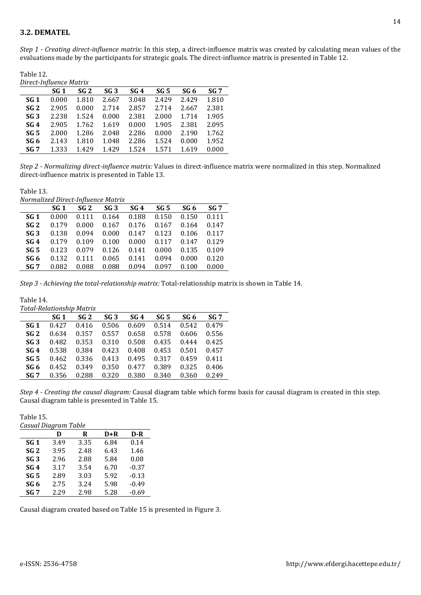*Step 1 - Creating direct-influence matrix:* In this step, a direct-influence matrix was created by calculating mean values of the evaluations made by the participants for strategic goals. The direct-influence matrix is presented in Table 12.

| Table 12.               |
|-------------------------|
| Direct-Influence Matrix |

| Direct-Hillaence much ix |       |       |                 |       |       |       |                 |
|--------------------------|-------|-------|-----------------|-------|-------|-------|-----------------|
|                          | SG 1  | SG 2  | SG <sub>3</sub> | SG4   | SG 5  | SG 6  | SG <sub>7</sub> |
| SG 1                     | 0.000 | 1.810 | 2.667           | 3.048 | 2.429 | 2.429 | 1.810           |
| SG <sub>2</sub>          | 2.905 | 0.000 | 2.714           | 2.857 | 2.714 | 2.667 | 2.381           |
| SG <sub>3</sub>          | 2.238 | 1.524 | 0.000           | 2.381 | 2.000 | 1.714 | 1.905           |
| SG4                      | 2.905 | 1.762 | 1.619           | 0.000 | 1.905 | 2.381 | 2.095           |
| SG <sub>5</sub>          | 2.000 | 1.286 | 2.048           | 2.286 | 0.000 | 2.190 | 1.762           |
| SG 6                     | 2.143 | 1.810 | 1.048           | 2.286 | 1.524 | 0.000 | 1.952           |
| SG <sub>7</sub>          | 1.333 | 1.429 | 1.429           | 1.524 | 1.571 | 1.619 | 0.000           |

*Step 2 - Normalizing direct-influence matrix:* Values in direct-influence matrix were normalized in this step. Normalized direct-influence matrix is presented in Table 13.

Table 13. *Normalized Direct-Influence Matrix*

| <i>NOI mullzed Direct-mindence mullix</i> |       |                 |                 |                 |                 |       |                 |
|-------------------------------------------|-------|-----------------|-----------------|-----------------|-----------------|-------|-----------------|
|                                           | SG 1  | SG <sub>2</sub> | SG <sub>3</sub> | SG <sub>4</sub> | SG <sub>5</sub> | SG 6  | SG <sub>7</sub> |
| SG 1                                      | 0.000 | 0.111           | 0.164           | 0.188           | 0.150           | 0.150 | 0.111           |
| SG <sub>2</sub>                           | 0.179 | 0.000           | 0.167           | 0.176           | 0.167           | 0.164 | 0.147           |
| SG <sub>3</sub>                           | 0.138 | 0.094           | 0.000           | 0.147           | 0.123           | 0.106 | 0.117           |
| SG <sub>4</sub>                           | 0.179 | 0.109           | 0.100           | 0.000           | 0.117           | 0.147 | 0.129           |
| SG <sub>5</sub>                           | 0.123 | 0.079           | 0.126           | 0.141           | 0.000           | 0.135 | 0.109           |
| SG <sub>6</sub>                           | 0.132 | 0.111           | 0.065           | 0.141           | 0.094           | 0.000 | 0.120           |
| SG 7                                      | 0.082 | 0.088           | 0.088           | 0.094           | 0.097           | 0.100 | 0.000           |
|                                           |       |                 |                 |                 |                 |       |                 |

*Step 3 - Achieving the total-relationship matrix:* Total-relationship matrix is shown in Table 14.

| Table 14.       |                           |                 |       |       |       |       |                 |
|-----------------|---------------------------|-----------------|-------|-------|-------|-------|-----------------|
|                 | Total-Relationship Matrix |                 |       |       |       |       |                 |
|                 | SG 1                      | SG <sub>2</sub> | SG 3  | SG 4  | SG 5  | SG 6  | SG <sub>7</sub> |
| SG 1            | 0.427                     | 0.416           | 0.506 | 0.609 | 0.514 | 0.542 | 0.479           |
| SG <sub>2</sub> | 0.634                     | 0.357           | 0.557 | 0.658 | 0.578 | 0.606 | 0.556           |
| SG <sub>3</sub> | 0.482                     | 0.353           | 0.310 | 0.508 | 0.435 | 0.444 | 0.425           |
| SG <sub>4</sub> | 0.538                     | 0.384           | 0.423 | 0.408 | 0.453 | 0.501 | 0.457           |
| SG <sub>5</sub> | 0.462                     | 0.336           | 0.413 | 0.495 | 0.317 | 0.459 | 0.411           |
| SG 6            | 0.452                     | 0.349           | 0.350 | 0.477 | 0.389 | 0.325 | 0.406           |
| SG <sub>7</sub> | 0.356                     | 0.288           | 0.320 | 0.380 | 0.340 | 0.360 | 0.249           |

*Step 4 - Creating the causal diagram:* Causal diagram table which forms basis for causal diagram is created in this step. Causal diagram table is presented in Table 15.

Table 15. *Casual Diagram Table* 

| Casuai Diagram Table |      |      |      |         |  |  |  |
|----------------------|------|------|------|---------|--|--|--|
|                      | D    | R    | D+R  | $D-R$   |  |  |  |
| SG <sub>1</sub>      | 3.49 | 3.35 | 6.84 | 0.14    |  |  |  |
| SG <sub>2</sub>      | 3.95 | 2.48 | 6.43 | 1.46    |  |  |  |
| SG <sub>3</sub>      | 2.96 | 2.88 | 5.84 | 0.08    |  |  |  |
| SG <sub>4</sub>      | 3.17 | 3.54 | 6.70 | $-0.37$ |  |  |  |
| SG <sub>5</sub>      | 2.89 | 3.03 | 5.92 | $-0.13$ |  |  |  |
| SG <sub>6</sub>      | 2.75 | 3.24 | 5.98 | $-0.49$ |  |  |  |
| SG <sub>7</sub>      | 2.29 | 2.98 | 5.28 | $-0.69$ |  |  |  |

Causal diagram created based on Table 15 is presented in Figure 3.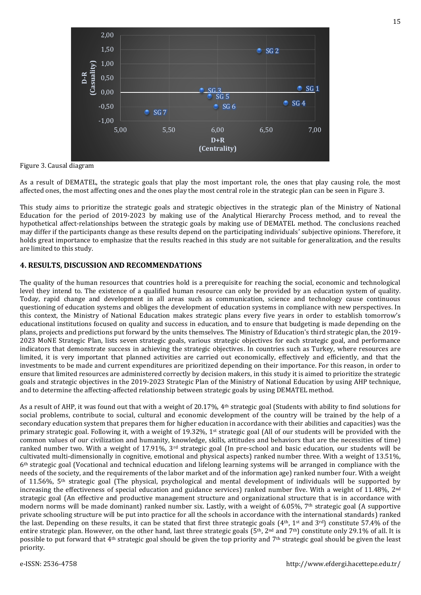

Figure 3. Causal diagram

As a result of DEMATEL, the strategic goals that play the most important role, the ones that play causing role, the most affected ones, the most affecting ones and the ones play the most central role in the strategic plan can be seen in Figure 3.

This study aims to prioritize the strategic goals and strategic objectives in the strategic plan of the Ministry of National Education for the period of 2019-2023 by making use of the Analytical Hierarchy Process method, and to reveal the hypothetical affect-relationships between the strategic goals by making use of DEMATEL method. The conclusions reached may differ if the participants change as these results depend on the participating individuals' subjective opinions. Therefore, it holds great importance to emphasize that the results reached in this study are not suitable for generalization, and the results are limited to this study.

#### **4. RESULTS, DISCUSSION AND RECOMMENDATIONS**

The quality of the human resources that countries hold is a prerequisite for reaching the social, economic and technological level they intend to. The existence of a qualified human resource can only be provided by an education system of quality. Today, rapid change and development in all areas such as communication, science and technology cause continuous questioning of education systems and obliges the development of education systems in compliance with new perspectives. In this context, the Ministry of National Education makes strategic plans every five years in order to establish tomorrow's educational institutions focused on quality and success in education, and to ensure that budgeting is made depending on the plans, projects and predictions put forward by the units themselves. The Ministry of Education's third strategic plan, the 2019- 2023 MoNE Strategic Plan, lists seven strategic goals, various strategic objectives for each strategic goal, and performance indicators that demonstrate success in achieving the strategic objectives. In countries such as Turkey, where resources are limited, it is very important that planned activities are carried out economically, effectively and efficiently, and that the investments to be made and current expenditures are prioritized depending on their importance. For this reason, in order to ensure that limited resources are administered correctly by decision makers, in this study it is aimed to prioritize the strategic goals and strategic objectives in the 2019-2023 Strategic Plan of the Ministry of National Education by using AHP technique, and to determine the affecting-affected relationship between strategic goals by using DEMATEL method.

As a result of AHP, it was found out that with a weight of 20.17%, 4th strategic goal (Students with ability to find solutions for social problems, contribute to social, cultural and economic development of the country will be trained by the help of a secondary education system that prepares them for higher education in accordance with their abilities and capacities) was the primary strategic goal. Following it, with a weight of 19.32%, 1st strategic goal (All of our students will be provided with the common values of our civilization and humanity, knowledge, skills, attitudes and behaviors that are the necessities of time) ranked number two. With a weight of 17.91%, 3<sup>rd</sup> strategic goal (In pre-school and basic education, our students will be cultivated multi-dimensionally in cognitive, emotional and physical aspects) ranked number three. With a weight of 13.51%, 6th strategic goal (Vocational and technical education and lifelong learning systems will be arranged in compliance with the needs of the society, and the requirements of the labor market and of the information age) ranked number four. With a weight of 11.56%, 5th strategic goal (The physical, psychological and mental development of individuals will be supported by increasing the effectiveness of special education and guidance services) ranked number five. With a weight of  $11.48\%$ ,  $2<sup>nd</sup>$ strategic goal (An effective and productive management structure and organizational structure that is in accordance with modern norms will be made dominant) ranked number six. Lastly, with a weight of 6.05%,  $7<sup>th</sup>$  strategic goal (A supportive private schooling structure will be put into practice for all the schools in accordance with the international standards) ranked the last. Depending on these results, it can be stated that first three strategic goals (4th, 1st and 3rd) constitute 57.4% of the entire strategic plan. However, on the other hand, last three strategic goals ( $5<sup>th</sup>$ ,  $2<sup>nd</sup>$  and  $7<sup>th</sup>$ ) constitute only 29.1% of all. It is possible to put forward that 4th strategic goal should be given the top priority and 7th strategic goal should be given the least priority.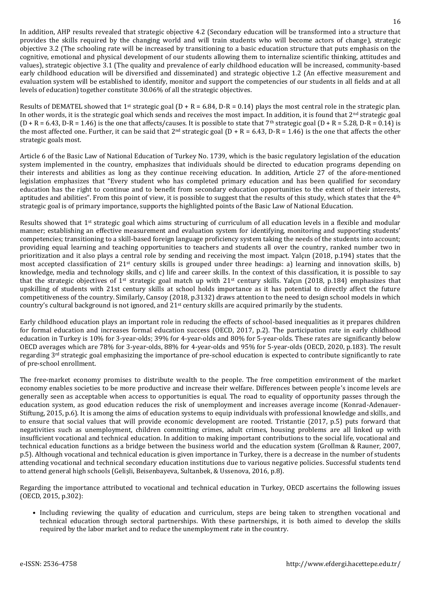In addition, AHP results revealed that strategic objective 4.2 (Secondary education will be transformed into a structure that provides the skills required by the changing world and will train students who will become actors of change), strategic objective 3.2 (The schooling rate will be increased by transitioning to a basic education structure that puts emphasis on the cognitive, emotional and physical development of our students allowing them to internalize scientific thinking, attitudes and values), strategic objective 3.1 (The quality and prevalence of early childhood education will be increased, community-based early childhood education will be diversified and disseminated) and strategic objective 1.2 (An effective measurement and evaluation system will be established to identify, monitor and support the competencies of our students in all fields and at all levels of education) together constitute 30.06% of all the strategic objectives.

Results of DEMATEL showed that 1<sup>st</sup> strategic goal (D + R = 6.84, D-R = 0.14) plays the most central role in the strategic plan. In other words, it is the strategic goal which sends and receives the most impact. In addition, it is found that  $2<sup>nd</sup>$  strategic goal  $(D + R = 6.43, D-R = 1.46)$  is the one that affects/causes. It is possible to state that 7<sup>th</sup> strategic goal  $(D + R = 5.28, D-R = 0.14)$  is the most affected one. Further, it can be said that  $2^{nd}$  strategic goal  $(D + R = 6.43, D-R = 1.46)$  is the one that affects the other strategic goals most.

Article 6 of the Basic Law of National Education of Turkey No. 1739, which is the basic regulatory legislation of the education system implemented in the country, emphasizes that individuals should be directed to education programs depending on their interests and abilities as long as they continue receiving education. In addition, Article 27 of the afore-mentioned legislation emphasizes that "Every student who has completed primary education and has been qualified for secondary education has the right to continue and to benefit from secondary education opportunities to the extent of their interests, aptitudes and abilities". From this point of view, it is possible to suggest that the results of this study, which states that the 4<sup>th</sup> strategic goal is of primary importance, supports the highlighted points of the Basic Law of National Education.

Results showed that 1<sup>st</sup> strategic goal which aims structuring of curriculum of all education levels in a flexible and modular manner; establishing an effective measurement and evaluation system for identifying, monitoring and supporting students' competencies; transitioning to a skill-based foreign language proficiency system taking the needs of the students into account; providing equal learning and teaching opportunities to teachers and students all over the country, ranked number two in prioritization and it also plays a central role by sending and receiving the most impact. Yalçın (2018, p.194) states that the most accepted classification of 21st century skills is grouped under three headings: a) learning and innovation skills, b) knowledge, media and technology skills, and c) life and career skills. In the context of this classification, it is possible to say that the strategic objectives of 1<sup>st</sup> strategic goal match up with  $21^{st}$  century skills. Yalçın (2018, p.184) emphasizes that upskilling of students with 21st century skills at school holds importance as it has potential to directly affect the future competitiveness of the country. Similarly, Cansoy (2018, p.3132) draws attention to the need to design school models in which country's cultural background is not ignored, and  $21<sup>st</sup>$  century skills are acquired primarily by the students.

Early childhood education plays an important role in reducing the effects of school-based inequalities as it prepares children for formal education and increases formal education success (OECD, 2017, p.2). The participation rate in early childhood education in Turkey is 10% for 3-year-olds; 39% for 4-year-olds and 80% for 5-year-olds. These rates are significantly below OECD averages which are 78% for 3-year-olds, 88% for 4-year-olds and 95% for 5-year-olds (OECD, 2020, p.183). The result regarding 3rd strategic goal emphasizing the importance of pre-school education is expected to contribute significantly to rate of pre-school enrollment.

The free-market economy promises to distribute wealth to the people. The free competition environment of the market economy enables societies to be more productive and increase their welfare. Differences between people's income levels are generally seen as acceptable when access to opportunities is equal. The road to equality of opportunity passes through the education system, as good education reduces the risk of unemployment and increases average income (Konrad-Adenauer-Stiftung, 2015, p.6). It is among the aims of education systems to equip individuals with professional knowledge and skills, and to ensure that social values that will provide economic development are rooted. Tristantie (2017, p.5) puts forward that negativities such as unemployment, children committing crimes, adult crimes, housing problems are all linked up with insufficient vocational and technical education. In addition to making important contributions to the social life, vocational and technical education functions as a bridge between the business world and the education system (Grollman & Rauner, 2007, p.5). Although vocational and technical education is given importance in Turkey, there is a decrease in the number of students attending vocational and technical secondary education institutions due to various negative policies. Successful students tend to attend general high schools (Gelişli, Beisenbayeva, Sultanbek, & Ussenova, 2016, p.8).

Regarding the importance attributed to vocational and technical education in Turkey, OECD ascertains the following issues (OECD, 2015, p.302):

• Including reviewing the quality of education and curriculum, steps are being taken to strengthen vocational and technical education through sectoral partnerships. With these partnerships, it is both aimed to develop the skills required by the labor market and to reduce the unemployment rate in the country.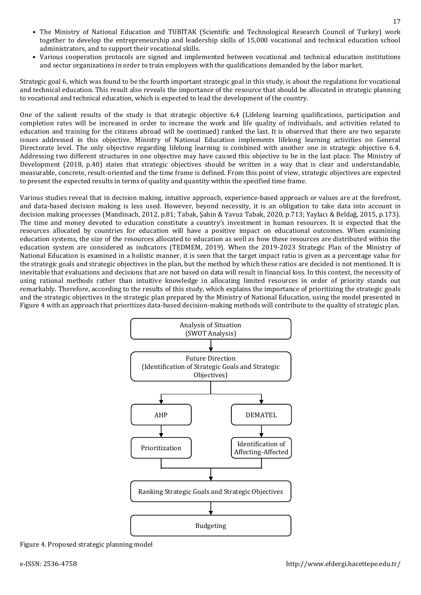- The Ministry of National Education and TUBITAK (Scientific and Technological Research Council of Turkey) work together to develop the entrepreneurship and leadership skills of 15,000 vocational and technical education school administrators, and to support their vocational skills.
- Various cooperation protocols are signed and implemented between vocational and technical education institutions and sector organizations in order to train employees with the qualifications demanded by the labor market.

Strategic goal 6, which was found to be the fourth important strategic goal in this study, is about the regulations for vocational and technical education. This result also reveals the importance of the resource that should be allocated in strategic planning to vocational and technical education, which is expected to lead the development of the country.

One of the salient results of the study is that strategic objective 6.4 (Lifelong learning qualifications, participation and completion rates will be increased in order to increase the work and life quality of individuals, and activities related to education and training for the citizens abroad will be continued) ranked the last. It is observed that there are two separate issues addressed in this objective. Ministry of National Education implements lifelong learning activities on General Directorate level. The only objective regarding lifelong learning is combined with another one in strategic objective 6.4. Addressing two different structures in one objective may have caused this objective to be in the last place. The Ministry of Development (2018, p.40) states that strategic objectives should be written in a way that is clear and understandable, measurable, concrete, result-oriented and the time frame is defined. From this point of view, strategic objectives are expected to present the expected results in terms of quality and quantity within the specified time frame.

Various studies reveal that in decision making, intuitive approach, experience-based approach or values are at the forefront, and data-based decision making is less used. However, beyond necessity, it is an obligation to take data into account in decision making processes (Mandinach, 2012, p.81; Tabak, Şahin & Yavuz Tabak, 2020, p.713; Yaylacı & Beldağ, 2015, p.173). The time and money devoted to education constitute a country's investment in human resources. It is expected that the resources allocated by countries for education will have a positive impact on educational outcomes. When examining education systems, the size of the resources allocated to education as well as how these resources are distributed within the education system are considered as indicators (TEDMEM, 2019). When the 2019-2023 Strategic Plan of the Ministry of National Education is examined in a holistic manner, it is seen that the target impact ratio is given as a percentage value for the strategic goals and strategic objectives in the plan, but the method by which these ratios are decided is not mentioned. It is inevitable that evaluations and decisions that are not based on data will result in financial loss. In this context, the necessity of using rational methods rather than intuitive knowledge in allocating limited resources in order of priority stands out remarkably. Therefore, according to the results of this study, which explains the importance of prioritizing the strategic goals and the strategic objectives in the strategic plan prepared by the Ministry of National Education, using the model presented in Figure 4 with an approach that prioritizes data-based decision-making methods will contribute to the quality of strategic plan.



Figure 4. Proposed strategic planning model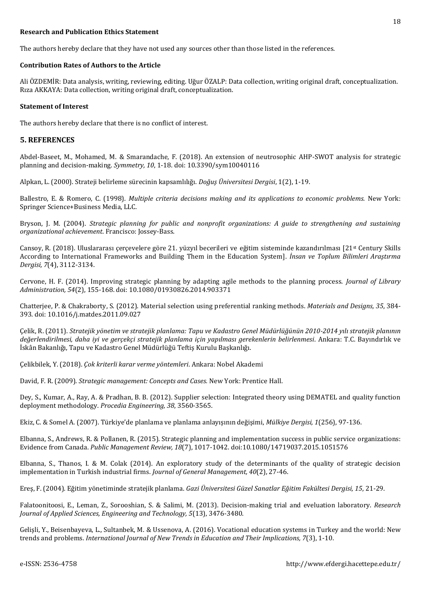### **Research and Publication Ethics Statement**

The authors hereby declare that they have not used any sources other than those listed in the references.

### **Contribution Rates of Authors to the Article**

Ali ÖZDEMİR: Data analysis, writing, reviewing, editing. Uğur ÖZALP: Data collection, writing original draft, conceptualization. Rıza AKKAYA: Data collection, writing original draft, conceptualization.

#### **Statement of Interest**

The authors hereby declare that there is no conflict of interest.

### **5. REFERENCES**

Abdel-Baseet, M., Mohamed, M. & Smarandache, F. (2018). An extension of neutrosophic AHP-SWOT analysis for strategic planning and decision-making. *Symmetry, 10*, 1-18. doi: 10.3390/sym10040116

Alpkan, L. (2000). Strateji belirleme sürecinin kapsamlılığı. *Doğuş Üniversitesi Dergisi*, 1(2), 1-19.

Ballestro, E. & Romero, C. (1998). *Multiple criteria decisions making and its applications to economic problems.* New York: Springer Science+Business Media, LLC.

Bryson, J. M. (2004). *Strategic planning for public and nonprofit organizations: A guide to strengthening and sustaining organizational achievement*. Francisco: Jossey-Bass.

Cansoy, R. (2018). Uluslararası çerçevelere göre 21. yüzyıl becerileri ve eğitim sisteminde kazandırılması [21st Century Skills According to International Frameworks and Building Them in the Education System]. *İnsan ve Toplum Bilimleri Araştırma Dergisi, 7*(4), 3112-3134.

Cervone, H. F. (2014). Improving strategic planning by adapting agile methods to the planning process. *Journal of Library Administration, 54*(2), 155-168. doi: 10.1080/01930826.2014.903371

Chatterjee, P. & Chakraborty, S. (2012). Material selection using preferential ranking methods. *Materials and Designs, 35*, 384- 393. doi: 10.1016/j.matdes.2011.09.027

Çelik, R. (2011). *Stratejik yönetim ve stratejik planlama: Tapu ve Kadastro Genel Müdürlüğünün 2010-2014 yılı stratejik planının değerlendirilmesi, daha iyi ve gerçekçi stratejik planlama için yapılması gerekenlerin belirlenmesi*. Ankara: T.C. Bayındırlık ve İskân Bakanlığı, Tapu ve Kadastro Genel Müdürlüğü Teftiş Kurulu Başkanlığı.

Çelikbilek, Y. (2018). *Çok kriterli karar verme yöntemleri*. Ankara: Nobel Akademi

David, F. R. (2009). *Strategic management: Concepts and Cases.* New York: Prentice Hall.

Dey, S., Kumar, A., Ray, A. & Pradhan, B. B. (2012). Supplier selection: Integrated theory using DEMATEL and quality function deployment methodology. *Procedia Engineering, 38*, 3560-3565.

Ekiz, C. & Somel A. (2007). Türkiye'de planlama ve planlama anlayışının değişimi, *Mülkiye Dergisi, 1*(256), 97-136.

Elbanna, S., Andrews, R. & Pollanen, R. (2015). Strategic planning and implementation success in public service organizations: Evidence from Canada. *Public Management Review, 18*(7), 1017-1042. doi:10.1080/14719037.2015.1051576

Elbanna, S., Thanos, I. & M. Colak (2014). An exploratory study of the determinants of the quality of strategic decision implementation in Turkish industrial firms. *Journal of General Management, 40*(2), 27-46.

Ereş, F. (2004). Eğitim yönetiminde stratejik planlama. *Gazi Üniversitesi Güzel Sanatlar Eğitim Fakültesi Dergisi, 15*, 21-29.

Falatoonitoosi, E., Leman, Z., Sorooshian, S. & Salimi, M. (2013). Decision-making trial and eveluation laboratory. *Research Journal of Applied Sciences, Engineering and Technology, 5*(13), 3476-3480.

Gelişli, Y., Beisenbayeva, L., Sultanbek, M. & Ussenova, A. (2016). Vocational education systems in Turkey and the world: New trends and problems. *International Journal of New Trends in Education and Their Implications, 7*(3), 1-10.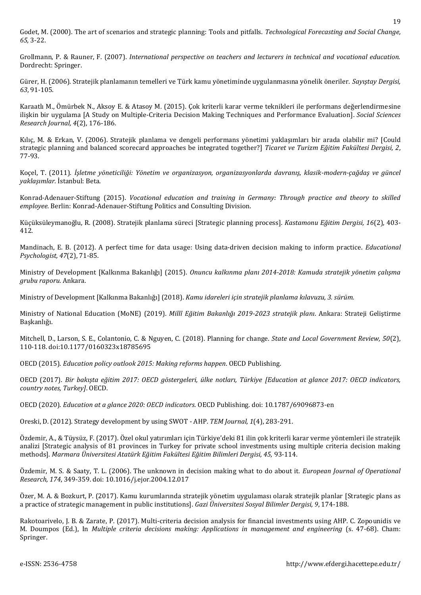Godet, M. (2000). The art of scenarios and strategic planning: Tools and pitfalls. *Technological Forecasting and Social Change, 65,* 3-22.

Grollmann, P. & Rauner, F. (2007). *International perspective on teachers and lecturers in technical and vocational education.*  Dordrecht: Springer.

Gürer, H. (2006). Stratejik planlamanın temelleri ve Türk kamu yönetiminde uygulanmasına yönelik öneriler. *Sayıştay Dergisi, 63*, 91-105.

Karaatlı M., Ömürbek N., Aksoy E. & Atasoy M. (2015). Çok kriterli karar verme teknikleri ile performans değerlendirmesine ilişkin bir uygulama [A Study on Multiple-Criteria Decision Making Techniques and Performance Evaluation]. *Social Sciences Research Journal, 4*(2), 176-186.

Kılıç, M. & Erkan, V. (2006). Stratejik planlama ve dengeli performans yönetimi yaklaşımları bir arada olabilir mi? [Could strategic planning and balanced scorecard approaches be integrated together?] *Ticaret ve Turizm Eğitim Fakültesi Dergisi, 2*, 77-93.

Koçel, T. (2011). *İşletme yöneticiliği: Yönetim ve organizasyon, organizasyonlarda davranış, klasik-modern-çağdaş ve güncel yaklaşımlar.* İstanbul: Beta.

Konrad-Adenauer-Stiftung (2015). *Vocational education and training in Germany: Through practice and theory to skilled employee.* Berlin: Konrad-Adenauer-Stiftung Politics and Consulting Division.

Küçüksüleymanoğlu, R. (2008). Stratejik planlama süreci [Strategic planning process]. *Kastamonu Eğitim Dergisi, 16*(2), 403- 412.

Mandinach, E. B. (2012). A perfect time for data usage: Using data-driven decision making to inform practice. *Educational Psychologist, 47*(2), 71-85.

Ministry of Development [Kalkınma Bakanlığı] (2015). *Onuncu kalkınma planı 2014-2018: Kamuda stratejik yönetim çalışma grubu raporu.* Ankara.

Ministry of Development [Kalkınma Bakanlığı] (2018). *Kamu idareleri için stratejik planlama kılavuzu, 3. sürüm.* 

Ministry of National Education (MoNE) (2019). *Millî Eğitim Bakanlığı 2019-2023 stratejik planı*. Ankara: Strateji Geliştirme Başkanlığı.

Mitchell, D., Larson, S. E., Colantonio, C. & Nguyen, C. (2018). Planning for change. *State and Local Government Review, 50*(2), 110-118. doi:10.1177/0160323x18785695

OECD (2015). *Education policy outlook 2015: Making reforms happen*. OECD Publishing.

OECD (2017). *Bir bakışta eğitim 2017: OECD göstergeleri, ülke notları, Türkiye [Education at glance 2017: OECD indicators, country notes, Turkey]*. OECD.

OECD (2020). *Education at a glance 2020: OECD indicators.* OECD Publishing. doi: 10.1787/69096873-en

Oreski, D. (2012). Strategy development by using SWOT - AHP. *TEM Journal, 1*(4), 283-291.

Özdemir, A., & Tüysüz, F. (2017). Özel okul yatırımları için Türkiye'deki 81 ilin çok kriterli karar verme yöntemleri ile stratejik analizi [Strategic analysis of 81 provinces in Turkey for private school investments using multiple criteria decision making methods]. *Marmara Üniversitesi Atatürk Eğitim Fakültesi Eğitim Bilimleri Dergisi, 45,* 93-114.

Özdemir, M. S. & Saaty, T. L. (2006). The unknown in decision making what to do about it. *European Journal of Operational Research, 174*, 349-359. doi: 10.1016/j.ejor.2004.12.017

Özer, M. A. & Bozkurt, P. (2017). Kamu kurumlarında stratejik yönetim uygulaması olarak stratejik planlar [Strategic plans as a practice of strategic management in public institutions]. *Gazi Üniversitesi Sosyal Bilimler Dergisi, 9*, 174-188.

Rakotoarivelo, J. B. & Zarate, P. (2017). Multi-criteria decision analysis for financial investments using AHP. C. Zopounidis ve M. Doumpos (Ed.), In *Multiple criteria decisions making: Applications in management and engineering* (s. 47-68). Cham: Springer.